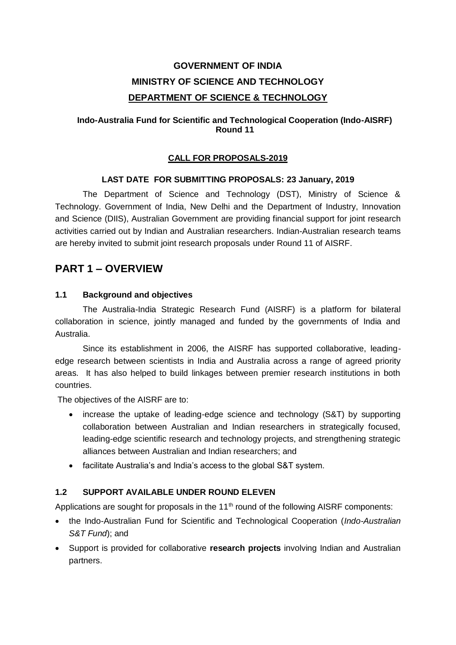# **GOVERNMENT OF INDIA MINISTRY OF SCIENCE AND TECHNOLOGY DEPARTMENT OF SCIENCE & TECHNOLOGY**

#### **Indo-Australia Fund for Scientific and Technological Cooperation (Indo-AISRF) Round 11**

#### **CALL FOR PROPOSALS-2019**

#### **LAST DATE FOR SUBMITTING PROPOSALS: 23 January, 2019**

The Department of Science and Technology (DST), Ministry of Science & Technology. Government of India, New Delhi and the Department of Industry, Innovation and Science (DIIS), Australian Government are providing financial support for joint research activities carried out by Indian and Australian researchers. Indian-Australian research teams are hereby invited to submit joint research proposals under Round 11 of AISRF.

# **PART 1 – OVERVIEW**

#### **1.1 Background and objectives**

The Australia-India Strategic Research Fund (AISRF) is a platform for bilateral collaboration in science, jointly managed and funded by the governments of India and Australia.

Since its establishment in 2006, the AISRF has supported collaborative, leadingedge research between scientists in India and Australia across a range of agreed priority areas. It has also helped to build linkages between premier research institutions in both countries.

The objectives of the AISRF are to:

- increase the uptake of leading-edge science and technology (S&T) by supporting collaboration between Australian and Indian researchers in strategically focused, leading-edge scientific research and technology projects, and strengthening strategic alliances between Australian and Indian researchers; and
- facilitate Australia's and India's access to the global S&T system.

# **1.2 SUPPORT AVAILABLE UNDER ROUND ELEVEN**

Applications are sought for proposals in the 11<sup>th</sup> round of the following AISRF components:

- the Indo-Australian Fund for Scientific and Technological Cooperation (*Indo-Australian S&T Fund*); and
- Support is provided for collaborative **research projects** involving Indian and Australian partners.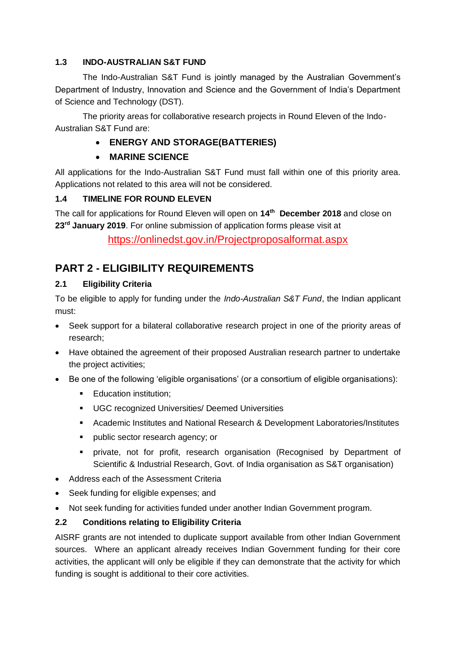## **1.3 INDO-AUSTRALIAN S&T FUND**

The Indo-Australian S&T Fund is jointly managed by the Australian Government's Department of Industry, Innovation and Science and the Government of India's Department of Science and Technology (DST).

The priority areas for collaborative research projects in Round Eleven of the Indo-Australian S&T Fund are:

# **ENERGY AND STORAGE(BATTERIES)**

# **MARINE SCIENCE**

All applications for the Indo-Australian S&T Fund must fall within one of this priority area. Applications not related to this area will not be considered.

## **1.4 TIMELINE FOR ROUND ELEVEN**

The call for applications for Round Eleven will open on **14th December 2018** and close on **23rd January 2019**. For online submission of application forms please visit at

<https://onlinedst.gov.in/Projectproposalformat.aspx>

# **PART 2 - ELIGIBILITY REQUIREMENTS**

# **2.1 Eligibility Criteria**

To be eligible to apply for funding under the *Indo-Australian S&T Fund*, the Indian applicant must:

- Seek support for a bilateral collaborative research project in one of the priority areas of research;
- Have obtained the agreement of their proposed Australian research partner to undertake the project activities;
- Be one of the following 'eligible organisations' (or a consortium of eligible organisations):
	- **Education institution:**
	- **UGC recognized Universities/ Deemed Universities**
	- Academic Institutes and National Research & Development Laboratories/Institutes
	- **•** public sector research agency; or
	- private, not for profit, research organisation (Recognised by Department of Scientific & Industrial Research, Govt. of India organisation as S&T organisation)
- Address each of the Assessment Criteria
- Seek funding for eligible expenses; and
- Not seek funding for activities funded under another Indian Government program.

# **2.2 Conditions relating to Eligibility Criteria**

AISRF grants are not intended to duplicate support available from other Indian Government sources. Where an applicant already receives Indian Government funding for their core activities, the applicant will only be eligible if they can demonstrate that the activity for which funding is sought is additional to their core activities.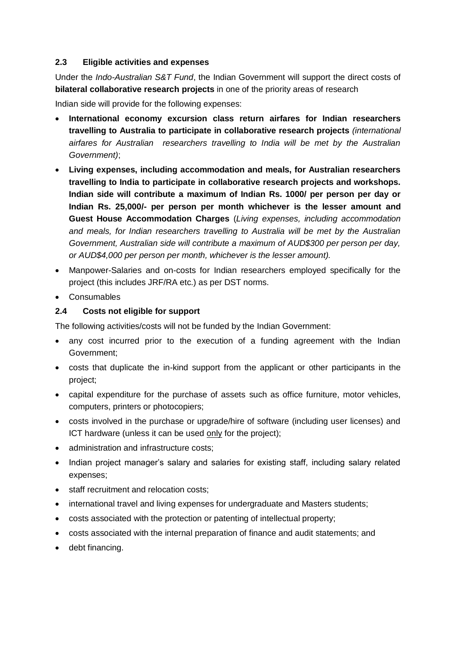#### **2.3 Eligible activities and expenses**

Under the *Indo-Australian S&T Fund*, the Indian Government will support the direct costs of **bilateral collaborative research projects** in one of the priority areas of research

Indian side will provide for the following expenses:

- **International economy excursion class return airfares for Indian researchers travelling to Australia to participate in collaborative research projects** *(international airfares for Australian researchers travelling to India will be met by the Australian Government)*;
- **Living expenses, including accommodation and meals, for Australian researchers travelling to India to participate in collaborative research projects and workshops. Indian side will contribute a maximum of Indian Rs. 1000/ per person per day or Indian Rs. 25,000/- per person per month whichever is the lesser amount and Guest House Accommodation Charges** (*Living expenses, including accommodation and meals, for Indian researchers travelling to Australia will be met by the Australian Government, Australian side will contribute a maximum of AUD\$300 per person per day, or AUD\$4,000 per person per month, whichever is the lesser amount).*
- Manpower-Salaries and on-costs for Indian researchers employed specifically for the project (this includes JRF/RA etc.) as per DST norms.
- Consumables

#### **2.4 Costs not eligible for support**

The following activities/costs will not be funded by the Indian Government:

- any cost incurred prior to the execution of a funding agreement with the Indian Government;
- costs that duplicate the in-kind support from the applicant or other participants in the project;
- capital expenditure for the purchase of assets such as office furniture, motor vehicles, computers, printers or photocopiers;
- costs involved in the purchase or upgrade/hire of software (including user licenses) and ICT hardware (unless it can be used only for the project);
- administration and infrastructure costs:
- Indian project manager's salary and salaries for existing staff, including salary related expenses;
- staff recruitment and relocation costs;
- international travel and living expenses for undergraduate and Masters students;
- costs associated with the protection or patenting of intellectual property;
- costs associated with the internal preparation of finance and audit statements; and
- debt financing.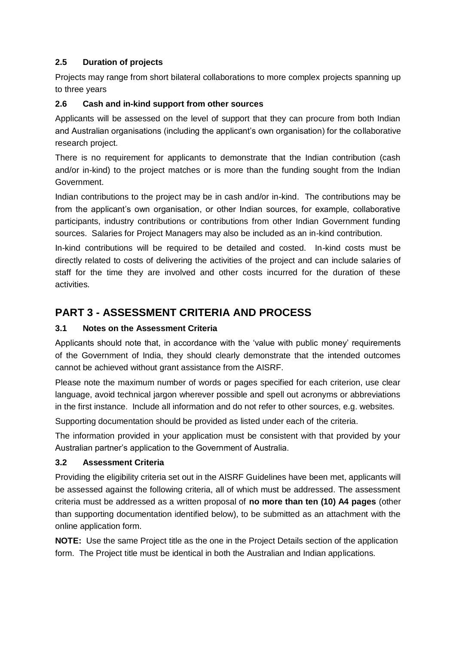## **2.5 Duration of projects**

Projects may range from short bilateral collaborations to more complex projects spanning up to three years

#### **2.6 Cash and in-kind support from other sources**

Applicants will be assessed on the level of support that they can procure from both Indian and Australian organisations (including the applicant's own organisation) for the collaborative research project.

There is no requirement for applicants to demonstrate that the Indian contribution (cash and/or in-kind) to the project matches or is more than the funding sought from the Indian Government.

Indian contributions to the project may be in cash and/or in-kind. The contributions may be from the applicant's own organisation, or other Indian sources, for example, collaborative participants, industry contributions or contributions from other Indian Government funding sources. Salaries for Project Managers may also be included as an in-kind contribution.

In-kind contributions will be required to be detailed and costed. In-kind costs must be directly related to costs of delivering the activities of the project and can include salaries of staff for the time they are involved and other costs incurred for the duration of these activities.

# **PART 3 - ASSESSMENT CRITERIA AND PROCESS**

#### **3.1 Notes on the Assessment Criteria**

Applicants should note that, in accordance with the 'value with public money' requirements of the Government of India, they should clearly demonstrate that the intended outcomes cannot be achieved without grant assistance from the AISRF.

Please note the maximum number of words or pages specified for each criterion, use clear language, avoid technical jargon wherever possible and spell out acronyms or abbreviations in the first instance. Include all information and do not refer to other sources, e.g. websites.

Supporting documentation should be provided as listed under each of the criteria.

The information provided in your application must be consistent with that provided by your Australian partner's application to the Government of Australia.

#### **3.2 Assessment Criteria**

Providing the eligibility criteria set out in the AISRF Guidelines have been met, applicants will be assessed against the following criteria, all of which must be addressed. The assessment criteria must be addressed as a written proposal of **no more than ten (10) A4 pages** (other than supporting documentation identified below), to be submitted as an attachment with the online application form.

**NOTE:** Use the same Project title as the one in the Project Details section of the application form. The Project title must be identical in both the Australian and Indian applications.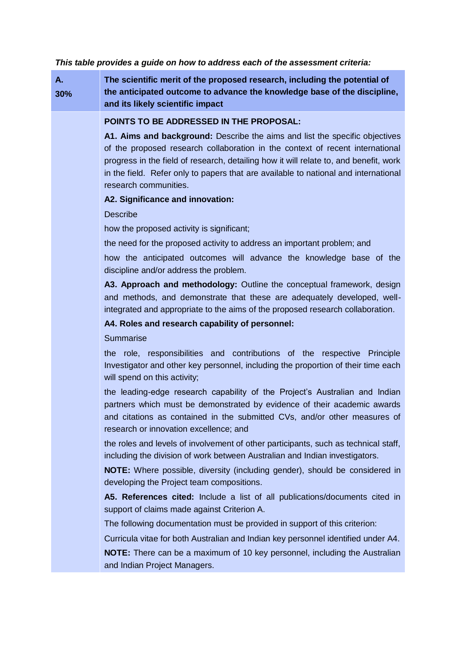*This table provides a guide on how to address each of the assessment criteria:* 

| Α.<br>30% | The scientific merit of the proposed research, including the potential of<br>the anticipated outcome to advance the knowledge base of the discipline,<br>and its likely scientific impact                                                                                                                                                                             |  |  |
|-----------|-----------------------------------------------------------------------------------------------------------------------------------------------------------------------------------------------------------------------------------------------------------------------------------------------------------------------------------------------------------------------|--|--|
|           | POINTS TO BE ADDRESSED IN THE PROPOSAL:                                                                                                                                                                                                                                                                                                                               |  |  |
|           | A1. Aims and background: Describe the aims and list the specific objectives<br>of the proposed research collaboration in the context of recent international<br>progress in the field of research, detailing how it will relate to, and benefit, work<br>in the field. Refer only to papers that are available to national and international<br>research communities. |  |  |
|           | A2. Significance and innovation:                                                                                                                                                                                                                                                                                                                                      |  |  |
|           | <b>Describe</b>                                                                                                                                                                                                                                                                                                                                                       |  |  |
|           | how the proposed activity is significant;                                                                                                                                                                                                                                                                                                                             |  |  |
|           | the need for the proposed activity to address an important problem; and                                                                                                                                                                                                                                                                                               |  |  |
|           | how the anticipated outcomes will advance the knowledge base of the<br>discipline and/or address the problem.                                                                                                                                                                                                                                                         |  |  |
|           | A3. Approach and methodology: Outline the conceptual framework, design<br>and methods, and demonstrate that these are adequately developed, well-<br>integrated and appropriate to the aims of the proposed research collaboration.                                                                                                                                   |  |  |
|           | A4. Roles and research capability of personnel:                                                                                                                                                                                                                                                                                                                       |  |  |
|           | Summarise                                                                                                                                                                                                                                                                                                                                                             |  |  |
|           | the role, responsibilities and contributions of the respective Principle<br>Investigator and other key personnel, including the proportion of their time each<br>will spend on this activity;                                                                                                                                                                         |  |  |
|           | the leading-edge research capability of the Project's Australian and Indian<br>partners which must be demonstrated by evidence of their academic awards<br>and citations as contained in the submitted CVs, and/or other measures of<br>research or innovation excellence; and                                                                                        |  |  |
|           | the roles and levels of involvement of other participants, such as technical staff,<br>including the division of work between Australian and Indian investigators.                                                                                                                                                                                                    |  |  |
|           | NOTE: Where possible, diversity (including gender), should be considered in<br>developing the Project team compositions.                                                                                                                                                                                                                                              |  |  |
|           | A5. References cited: Include a list of all publications/documents cited in<br>support of claims made against Criterion A.                                                                                                                                                                                                                                            |  |  |
|           | The following documentation must be provided in support of this criterion:                                                                                                                                                                                                                                                                                            |  |  |
|           | Curricula vitae for both Australian and Indian key personnel identified under A4.                                                                                                                                                                                                                                                                                     |  |  |
|           | NOTE: There can be a maximum of 10 key personnel, including the Australian                                                                                                                                                                                                                                                                                            |  |  |

and Indian Project Managers.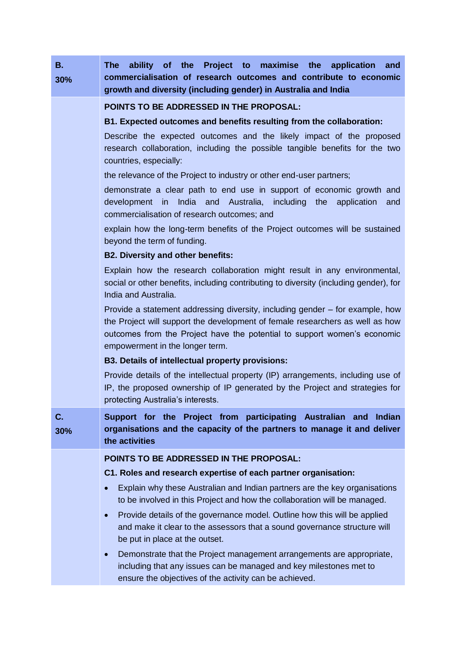| В.<br>30% | ability of the Project to<br>maximise the application<br>The l<br>and<br>commercialisation of research outcomes and contribute to economic<br>growth and diversity (including gender) in Australia and India                                                                  |  |  |  |  |
|-----------|-------------------------------------------------------------------------------------------------------------------------------------------------------------------------------------------------------------------------------------------------------------------------------|--|--|--|--|
|           | POINTS TO BE ADDRESSED IN THE PROPOSAL:                                                                                                                                                                                                                                       |  |  |  |  |
|           | B1. Expected outcomes and benefits resulting from the collaboration:<br>Describe the expected outcomes and the likely impact of the proposed<br>research collaboration, including the possible tangible benefits for the two<br>countries, especially:                        |  |  |  |  |
|           |                                                                                                                                                                                                                                                                               |  |  |  |  |
|           | the relevance of the Project to industry or other end-user partners;                                                                                                                                                                                                          |  |  |  |  |
|           | demonstrate a clear path to end use in support of economic growth and<br>development in India and Australia, including the<br>application<br>and<br>commercialisation of research outcomes; and                                                                               |  |  |  |  |
|           | explain how the long-term benefits of the Project outcomes will be sustained<br>beyond the term of funding.                                                                                                                                                                   |  |  |  |  |
|           | <b>B2. Diversity and other benefits:</b>                                                                                                                                                                                                                                      |  |  |  |  |
|           | Explain how the research collaboration might result in any environmental,<br>social or other benefits, including contributing to diversity (including gender), for<br>India and Australia.                                                                                    |  |  |  |  |
|           | Provide a statement addressing diversity, including gender – for example, how<br>the Project will support the development of female researchers as well as how<br>outcomes from the Project have the potential to support women's economic<br>empowerment in the longer term. |  |  |  |  |
|           | <b>B3. Details of intellectual property provisions:</b>                                                                                                                                                                                                                       |  |  |  |  |
|           | Provide details of the intellectual property (IP) arrangements, including use of<br>IP, the proposed ownership of IP generated by the Project and strategies for<br>protecting Australia's interests.                                                                         |  |  |  |  |
| C.<br>30% | Support for the Project from participating Australian and<br><b>Indian</b><br>organisations and the capacity of the partners to manage it and deliver<br>the activities                                                                                                       |  |  |  |  |
|           | POINTS TO BE ADDRESSED IN THE PROPOSAL:                                                                                                                                                                                                                                       |  |  |  |  |
|           | C1. Roles and research expertise of each partner organisation:                                                                                                                                                                                                                |  |  |  |  |
|           | Explain why these Australian and Indian partners are the key organisations<br>to be involved in this Project and how the collaboration will be managed.                                                                                                                       |  |  |  |  |
|           | Provide details of the governance model. Outline how this will be applied<br>and make it clear to the assessors that a sound governance structure will<br>be put in place at the outset.                                                                                      |  |  |  |  |
|           | Demonstrate that the Project management arrangements are appropriate,<br>$\bullet$<br>including that any issues can be managed and key milestones met to<br>ensure the objectives of the activity can be achieved.                                                            |  |  |  |  |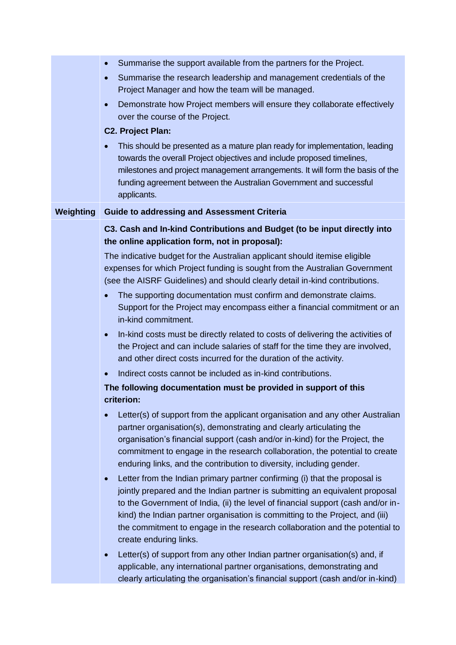|           | Summarise the support available from the partners for the Project.<br>$\bullet$                                                                                                                                                                                                                                                                                                                                                                       |  |  |
|-----------|-------------------------------------------------------------------------------------------------------------------------------------------------------------------------------------------------------------------------------------------------------------------------------------------------------------------------------------------------------------------------------------------------------------------------------------------------------|--|--|
|           | Summarise the research leadership and management credentials of the<br>$\bullet$<br>Project Manager and how the team will be managed.                                                                                                                                                                                                                                                                                                                 |  |  |
|           | Demonstrate how Project members will ensure they collaborate effectively<br>$\bullet$<br>over the course of the Project.                                                                                                                                                                                                                                                                                                                              |  |  |
|           | <b>C2. Project Plan:</b>                                                                                                                                                                                                                                                                                                                                                                                                                              |  |  |
|           | This should be presented as a mature plan ready for implementation, leading<br>towards the overall Project objectives and include proposed timelines,<br>milestones and project management arrangements. It will form the basis of the<br>funding agreement between the Australian Government and successful<br>applicants.                                                                                                                           |  |  |
| Weighting | <b>Guide to addressing and Assessment Criteria</b>                                                                                                                                                                                                                                                                                                                                                                                                    |  |  |
|           | C3. Cash and In-kind Contributions and Budget (to be input directly into<br>the online application form, not in proposal):                                                                                                                                                                                                                                                                                                                            |  |  |
|           | The indicative budget for the Australian applicant should itemise eligible<br>expenses for which Project funding is sought from the Australian Government<br>(see the AISRF Guidelines) and should clearly detail in-kind contributions.                                                                                                                                                                                                              |  |  |
|           | The supporting documentation must confirm and demonstrate claims.<br>Support for the Project may encompass either a financial commitment or an<br>in-kind commitment.                                                                                                                                                                                                                                                                                 |  |  |
|           | In-kind costs must be directly related to costs of delivering the activities of<br>$\bullet$<br>the Project and can include salaries of staff for the time they are involved,<br>and other direct costs incurred for the duration of the activity.                                                                                                                                                                                                    |  |  |
|           | Indirect costs cannot be included as in-kind contributions.                                                                                                                                                                                                                                                                                                                                                                                           |  |  |
|           | The following documentation must be provided in support of this<br>criterion:                                                                                                                                                                                                                                                                                                                                                                         |  |  |
|           | Letter(s) of support from the applicant organisation and any other Australian<br>$\bullet$<br>partner organisation(s), demonstrating and clearly articulating the<br>organisation's financial support (cash and/or in-kind) for the Project, the<br>commitment to engage in the research collaboration, the potential to create<br>enduring links, and the contribution to diversity, including gender.                                               |  |  |
|           | Letter from the Indian primary partner confirming (i) that the proposal is<br>$\bullet$<br>jointly prepared and the Indian partner is submitting an equivalent proposal<br>to the Government of India, (ii) the level of financial support (cash and/or in-<br>kind) the Indian partner organisation is committing to the Project, and (iii)<br>the commitment to engage in the research collaboration and the potential to<br>create enduring links. |  |  |
|           | Letter(s) of support from any other Indian partner organisation(s) and, if<br>$\bullet$<br>applicable, any international partner organisations, demonstrating and<br>clearly articulating the organisation's financial support (cash and/or in-kind)                                                                                                                                                                                                  |  |  |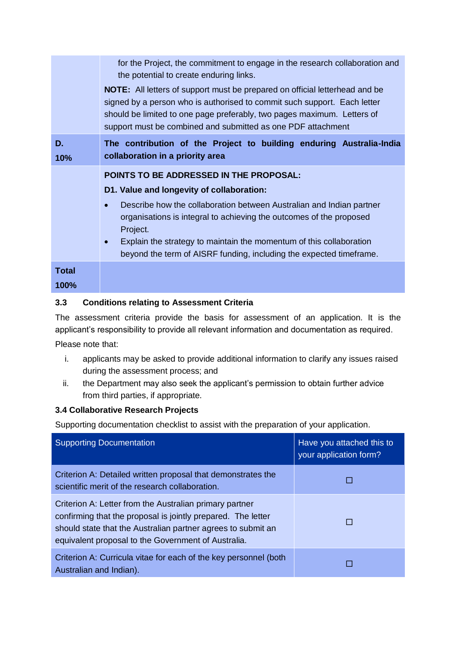|               | for the Project, the commitment to engage in the research collaboration and<br>the potential to create enduring links.<br><b>NOTE:</b> All letters of support must be prepared on official letterhead and be<br>signed by a person who is authorised to commit such support. Each letter<br>should be limited to one page preferably, two pages maximum. Letters of<br>support must be combined and submitted as one PDF attachment |  |
|---------------|-------------------------------------------------------------------------------------------------------------------------------------------------------------------------------------------------------------------------------------------------------------------------------------------------------------------------------------------------------------------------------------------------------------------------------------|--|
| D.<br>10%     | The contribution of the Project to building enduring Australia-India<br>collaboration in a priority area                                                                                                                                                                                                                                                                                                                            |  |
|               | <b>POINTS TO BE ADDRESSED IN THE PROPOSAL:</b><br>D1. Value and longevity of collaboration:<br>Describe how the collaboration between Australian and Indian partner<br>organisations is integral to achieving the outcomes of the proposed<br>Project.<br>Explain the strategy to maintain the momentum of this collaboration<br>$\bullet$<br>beyond the term of AISRF funding, including the expected timeframe.                   |  |
| Total<br>100% |                                                                                                                                                                                                                                                                                                                                                                                                                                     |  |

#### **3.3 Conditions relating to Assessment Criteria**

The assessment criteria provide the basis for assessment of an application. It is the applicant's responsibility to provide all relevant information and documentation as required.

Please note that:

- i. applicants may be asked to provide additional information to clarify any issues raised during the assessment process; and
- ii. the Department may also seek the applicant's permission to obtain further advice from third parties, if appropriate.

#### **3.4 Collaborative Research Projects**

Supporting documentation checklist to assist with the preparation of your application.

| <b>Supporting Documentation</b>                                                                                                                                                                                                                | Have you attached this to<br>your application form? |
|------------------------------------------------------------------------------------------------------------------------------------------------------------------------------------------------------------------------------------------------|-----------------------------------------------------|
| Criterion A: Detailed written proposal that demonstrates the<br>scientific merit of the research collaboration.                                                                                                                                |                                                     |
| Criterion A: Letter from the Australian primary partner<br>confirming that the proposal is jointly prepared. The letter<br>should state that the Australian partner agrees to submit an<br>equivalent proposal to the Government of Australia. |                                                     |
| Criterion A: Curricula vitae for each of the key personnel (both<br>Australian and Indian).                                                                                                                                                    |                                                     |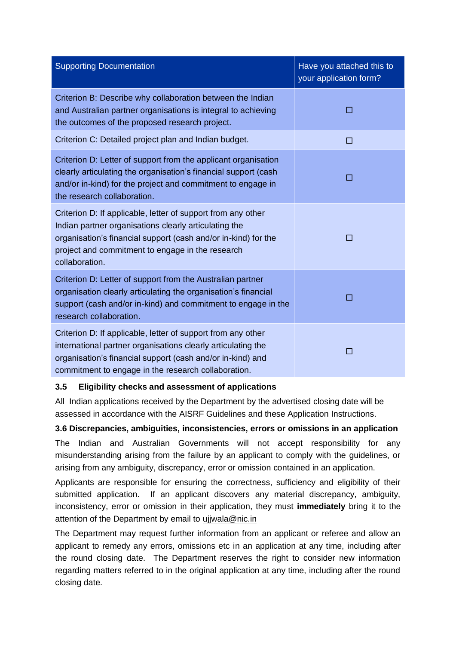| <b>Supporting Documentation</b>                                                                                                                                                                                                                               | Have you attached this to<br>your application form? |
|---------------------------------------------------------------------------------------------------------------------------------------------------------------------------------------------------------------------------------------------------------------|-----------------------------------------------------|
| Criterion B: Describe why collaboration between the Indian<br>and Australian partner organisations is integral to achieving<br>the outcomes of the proposed research project.                                                                                 | П                                                   |
| Criterion C: Detailed project plan and Indian budget.                                                                                                                                                                                                         | П                                                   |
| Criterion D: Letter of support from the applicant organisation<br>clearly articulating the organisation's financial support (cash<br>and/or in-kind) for the project and commitment to engage in<br>the research collaboration.                               | П                                                   |
| Criterion D: If applicable, letter of support from any other<br>Indian partner organisations clearly articulating the<br>organisation's financial support (cash and/or in-kind) for the<br>project and commitment to engage in the research<br>collaboration. | П                                                   |
| Criterion D: Letter of support from the Australian partner<br>organisation clearly articulating the organisation's financial<br>support (cash and/or in-kind) and commitment to engage in the<br>research collaboration.                                      | П                                                   |
| Criterion D: If applicable, letter of support from any other<br>international partner organisations clearly articulating the<br>organisation's financial support (cash and/or in-kind) and<br>commitment to engage in the research collaboration.             | П                                                   |

#### **3.5 Eligibility checks and assessment of applications**

All Indian applications received by the Department by the advertised closing date will be assessed in accordance with the AISRF Guidelines and these Application Instructions.

#### **3.6 Discrepancies, ambiguities, inconsistencies, errors or omissions in an application**

The Indian and Australian Governments will not accept responsibility for any misunderstanding arising from the failure by an applicant to comply with the guidelines, or arising from any ambiguity, discrepancy, error or omission contained in an application.

Applicants are responsible for ensuring the correctness, sufficiency and eligibility of their submitted application. If an applicant discovers any material discrepancy, ambiguity, inconsistency, error or omission in their application, they must **immediately** bring it to the attention of the Department by email to ujjwala@nic.in

The Department may request further information from an applicant or referee and allow an applicant to remedy any errors, omissions etc in an application at any time, including after the round closing date. The Department reserves the right to consider new information regarding matters referred to in the original application at any time, including after the round closing date.